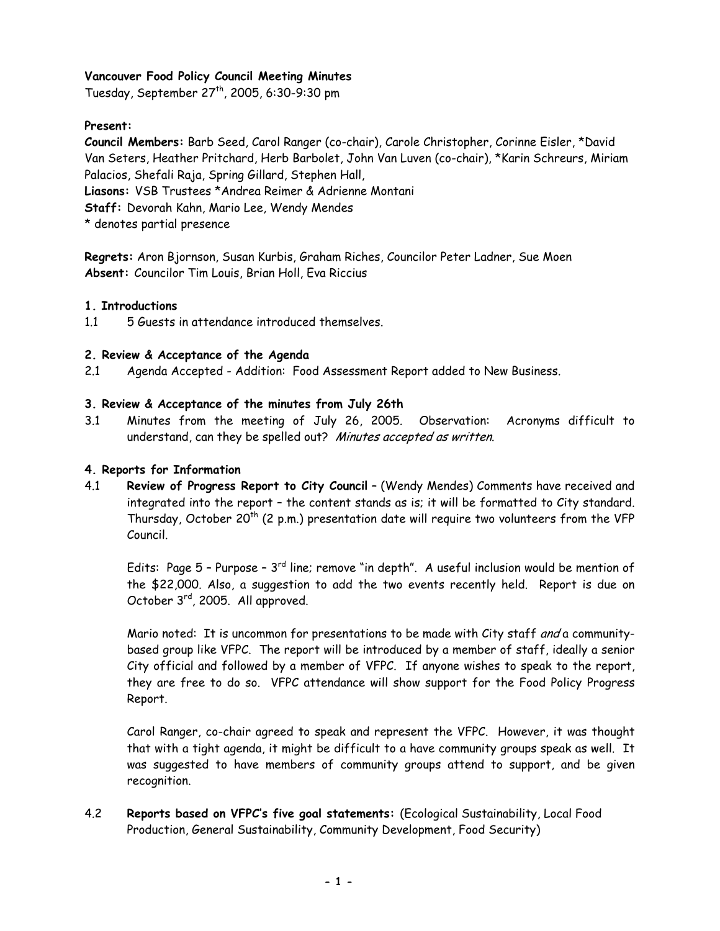# **Vancouver Food Policy Council Meeting Minutes**

Tuesday, September 27th, 2005, 6:30-9:30 pm

### **Present:**

**Council Members:** Barb Seed, Carol Ranger (co-chair), Carole Christopher, Corinne Eisler, \*David Van Seters, Heather Pritchard, Herb Barbolet, John Van Luven (co-chair), \*Karin Schreurs, Miriam Palacios, Shefali Raja, Spring Gillard, Stephen Hall, **Liasons:** VSB Trustees \*Andrea Reimer & Adrienne Montani **Staff:** Devorah Kahn, Mario Lee, Wendy Mendes

\* denotes partial presence

**Regrets:** Aron Bjornson, Susan Kurbis, Graham Riches, Councilor Peter Ladner, Sue Moen **Absent:** Councilor Tim Louis, Brian Holl, Eva Riccius

#### **1. Introductions**

1.1 5 Guests in attendance introduced themselves.

## **2. Review & Acceptance of the Agenda**

2.1 Agenda Accepted - Addition: Food Assessment Report added to New Business.

## **3. Review & Acceptance of the minutes from July 26th**

3.1 Minutes from the meeting of July 26, 2005. Observation: Acronyms difficult to understand, can they be spelled out? Minutes accepted as written.

### **4. Reports for Information**

4.1 **Review of Progress Report to City Council** – (Wendy Mendes) Comments have received and integrated into the report – the content stands as is; it will be formatted to City standard. Thursday, October 20<sup>th</sup> (2 p.m.) presentation date will require two volunteers from the VFP Council.

Edits: Page  $5$  - Purpose -  $3<sup>rd</sup>$  line; remove "in depth". A useful inclusion would be mention of the \$22,000. Also, a suggestion to add the two events recently held. Report is due on October 3rd, 2005. All approved.

Mario noted: It is uncommon for presentations to be made with City staff and a communitybased group like VFPC. The report will be introduced by a member of staff, ideally a senior City official and followed by a member of VFPC. If anyone wishes to speak to the report, they are free to do so. VFPC attendance will show support for the Food Policy Progress Report.

Carol Ranger, co-chair agreed to speak and represent the VFPC. However, it was thought that with a tight agenda, it might be difficult to a have community groups speak as well. It was suggested to have members of community groups attend to support, and be given recognition.

4.2 **Reports based on VFPC's five goal statements:** (Ecological Sustainability, Local Food Production, General Sustainability, Community Development, Food Security)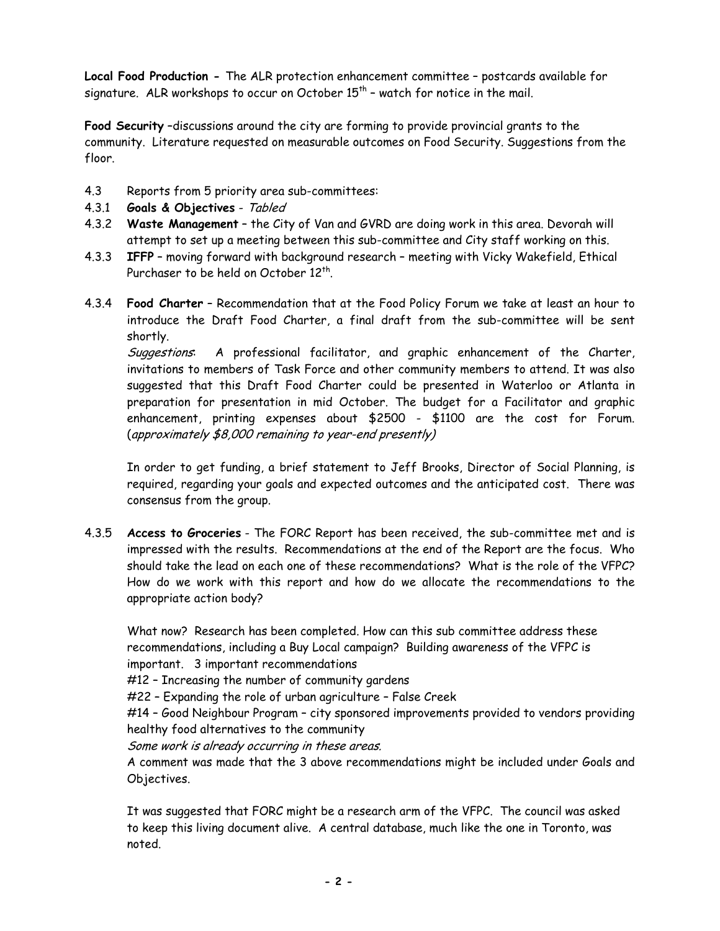**Local Food Production -** The ALR protection enhancement committee – postcards available for signature. ALR workshops to occur on October  $15<sup>th</sup>$  – watch for notice in the mail.

**Food Security** –discussions around the city are forming to provide provincial grants to the community. Literature requested on measurable outcomes on Food Security. Suggestions from the floor.

- 4.3 Reports from 5 priority area sub-committees:
- 4.3.1 **Goals & Objectives** Tabled
- 4.3.2 **Waste Management** the City of Van and GVRD are doing work in this area. Devorah will attempt to set up a meeting between this sub-committee and City staff working on this.
- 4.3.3 **IFFP** moving forward with background research meeting with Vicky Wakefield, Ethical Purchaser to be held on October 12<sup>th</sup>
- 4.3.4 **Food Charter** Recommendation that at the Food Policy Forum we take at least an hour to introduce the Draft Food Charter, a final draft from the sub-committee will be sent shortly.

Suggestions: A professional facilitator, and graphic enhancement of the Charter, invitations to members of Task Force and other community members to attend. It was also suggested that this Draft Food Charter could be presented in Waterloo or Atlanta in preparation for presentation in mid October. The budget for a Facilitator and graphic enhancement, printing expenses about \$2500 - \$1100 are the cost for Forum. (approximately \$8,000 remaining to year-end presently)

 In order to get funding, a brief statement to Jeff Brooks, Director of Social Planning, is required, regarding your goals and expected outcomes and the anticipated cost. There was consensus from the group.

4.3.5 **Access to Groceries** - The FORC Report has been received, the sub-committee met and is impressed with the results. Recommendations at the end of the Report are the focus. Who should take the lead on each one of these recommendations? What is the role of the VFPC? How do we work with this report and how do we allocate the recommendations to the appropriate action body?

 What now? Research has been completed. How can this sub committee address these recommendations, including a Buy Local campaign? Building awareness of the VFPC is important. 3 important recommendations

#12 – Increasing the number of community gardens

#22 – Expanding the role of urban agriculture – False Creek

 #14 – Good Neighbour Program – city sponsored improvements provided to vendors providing healthy food alternatives to the community

Some work is already occurring in these areas.

A comment was made that the 3 above recommendations might be included under Goals and Objectives.

It was suggested that FORC might be a research arm of the VFPC. The council was asked to keep this living document alive. A central database, much like the one in Toronto, was noted.